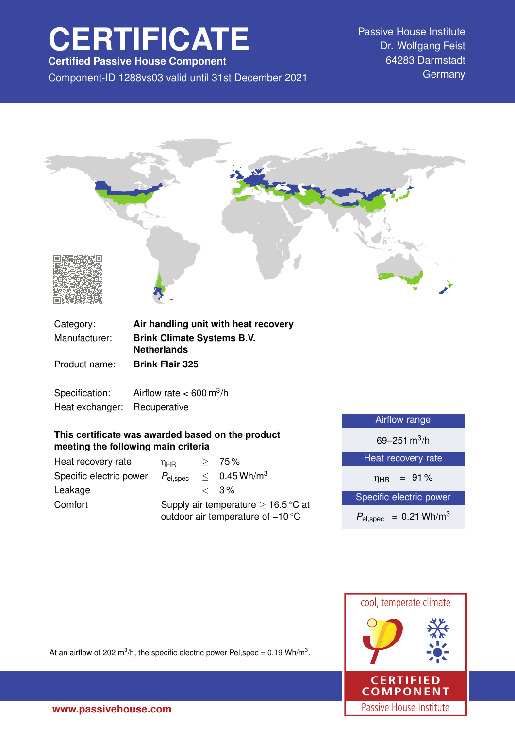# **CERTIFICATE**

**Certified Passive House Component**

Component-ID 1288vs03 valid until 31st December 2021 Germany

Passive House Institute Dr. Wolfgang Feist 64283 Darmstadt



Specification: Airflow rate  $< 600 \text{ m}^3/\text{h}$ 

Heat exchanger: Recuperative

## **This certificate was awarded based on the product meeting the following main criteria**

| Heat recovery rate      | $\eta_{\rm HR}$                                                                               |  | > 75%                      |
|-------------------------|-----------------------------------------------------------------------------------------------|--|----------------------------|
| Specific electric power | $P_{\mathsf{el,spec}}$                                                                        |  | $< 0.45$ Wh/m <sup>3</sup> |
| Leakage                 |                                                                                               |  | $\langle 3\%$              |
| Comfort                 | Supply air temperature $\geq 16.5^{\circ}$ C at<br>outdoor air temperature of $-10^{\circ}$ C |  |                            |

| <b>Airflow range</b>                   |  |  |
|----------------------------------------|--|--|
| 69–251 m <sup>3</sup> /h               |  |  |
| Heat recovery rate                     |  |  |
| $\eta_{HR}$ = 91%                      |  |  |
| Specific electric power                |  |  |
| $P_{el,spec}$ = 0.21 Wh/m <sup>3</sup> |  |  |



At an airflow of 202 m<sup>3</sup>/h, the specific electric power Pel,spec = 0.19 Wh/m<sup>3</sup>.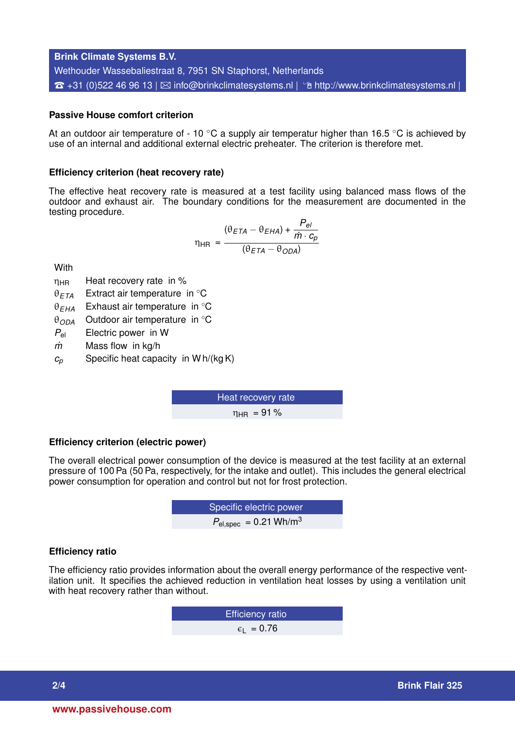**Brink Climate Systems B.V.** Wethouder Wassebaliestraat 8, 7951 SN Staphorst, Netherlands  $\hat{\sigma}$  +31 (0)522 46 96 13 |  $\boxtimes$  [info@brinkclimatesystems.nl](mailto:info@brinkclimatesystems.nl) |  $\hat{\sigma}$  <http://www.brinkclimatesystems.nl> |

## **Passive House comfort criterion**

At an outdoor air temperature of - 10  $\degree$ C a supply air temperatur higher than 16.5  $\degree$ C is achieved by use of an internal and additional external electric preheater. The criterion is therefore met.

#### **Efficiency criterion (heat recovery rate)**

The effective heat recovery rate is measured at a test facility using balanced mass flows of the outdoor and exhaust air. The boundary conditions for the measurement are documented in the testing procedure.

$$
\eta_{HR} = \frac{(\theta_{ETA} - \theta_{EHA}) + \frac{P_{el}}{\dot{m} \cdot c_p}}{(\theta_{ETA} - \theta_{ODA})}
$$

**With** 

- $\eta_{HR}$  Heat recovery rate in %
- θ*ETA* Extract air temperature in ◦C
- θ*EHA* Exhaust air temperature in ◦C
- θ*ODA* Outdoor air temperature in ◦C
- *P*el Electric power in W
- *m˙* Mass flow in kg/h
- $c_p$  Specific heat capacity in W h/(kg K)

Heat recovery rate  $n_{\text{HR}} = 91\%$ 

#### **Efficiency criterion (electric power)**

The overall electrical power consumption of the device is measured at the test facility at an external pressure of 100 Pa (50 Pa, respectively, for the intake and outlet). This includes the general electrical power consumption for operation and control but not for frost protection.

**EXECUTE:** Specific electric power  

$$
P_{\text{el,spec}} = 0.21 \text{ Wh/m}^3
$$

#### **Efficiency ratio**

The efficiency ratio provides information about the overall energy performance of the respective ventilation unit. It specifies the achieved reduction in ventilation heat losses by using a ventilation unit with heat recovery rather than without.

> Efficiency ratio  $\epsilon_1$  = 0.76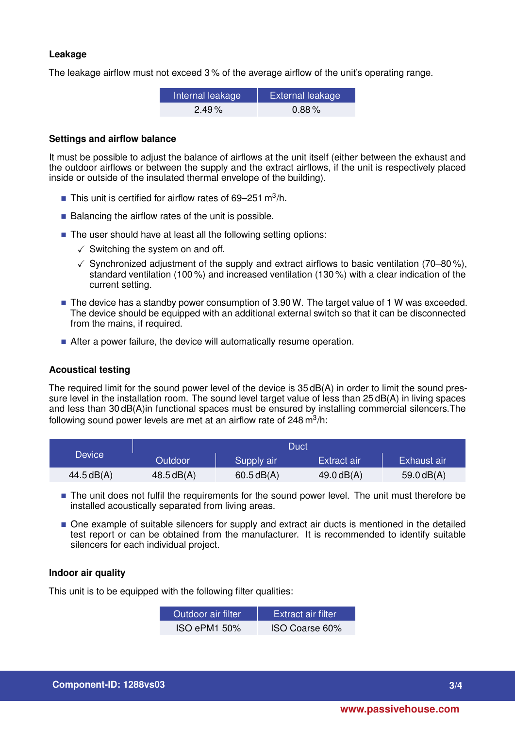## **Leakage**

The leakage airflow must not exceed 3 % of the average airflow of the unit's operating range.

| Internal leakage | <b>External leakage</b> |
|------------------|-------------------------|
| $2.49\%$         | $0.88\%$                |

## **Settings and airflow balance**

It must be possible to adjust the balance of airflows at the unit itself (either between the exhaust and the outdoor airflows or between the supply and the extract airflows, if the unit is respectively placed inside or outside of the insulated thermal envelope of the building).

- This unit is certified for airflow rates of 69-251 m<sup>3</sup>/h.
- $\blacksquare$  Balancing the airflow rates of the unit is possible.
- The user should have at least all the following setting options:
	- $\checkmark$  Switching the system on and off.
	- $\checkmark$  Synchronized adjustment of the supply and extract airflows to basic ventilation (70–80%), standard ventilation (100 %) and increased ventilation (130 %) with a clear indication of the current setting.
- The device has a standby power consumption of 3.90 W. The target value of 1 W was exceeded. The device should be equipped with an additional external switch so that it can be disconnected from the mains, if required.
- After a power failure, the device will automatically resume operation.

## **Acoustical testing**

The required limit for the sound power level of the device is 35 dB(A) in order to limit the sound pressure level in the installation room. The sound level target value of less than 25 dB(A) in living spaces and less than 30 dB(A)in functional spaces must be ensured by installing commercial silencers.The following sound power levels are met at an airflow rate of 248 m $^3$ /h:

|                     | Duct           |            |              |                    |
|---------------------|----------------|------------|--------------|--------------------|
| Device <sup>1</sup> | <b>Outdoor</b> | Supply air | Extract air  | <b>Exhaust air</b> |
| 44.5dB(A)           | 48.5 dB(A)     | 60.5dB(A)  | $49.0$ dB(A) | 59.0 $dB(A)$       |

- The unit does not fulfil the requirements for the sound power level. The unit must therefore be installed acoustically separated from living areas.
- $\blacksquare$  One example of suitable silencers for supply and extract air ducts is mentioned in the detailed test report or can be obtained from the manufacturer. It is recommended to identify suitable silencers for each individual project.

## **Indoor air quality**

This unit is to be equipped with the following filter qualities:

| Outdoor air filter. | <b>Extract air filter</b> |
|---------------------|---------------------------|
| <b>ISO ePM1 50%</b> | ISO Coarse 60%            |